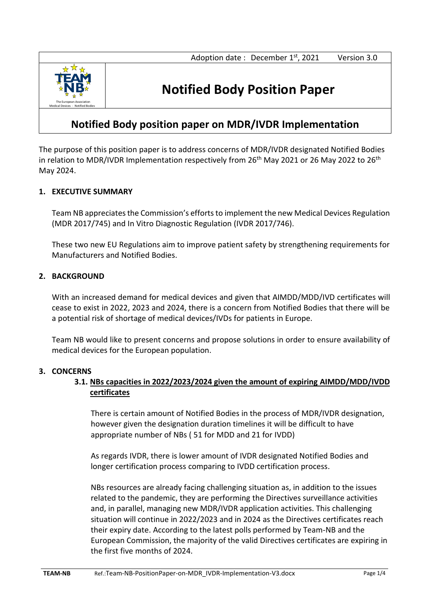

# **Notified Body Position Paper**

## **Notified Body position paper on MDR/IVDR Implementation**

The purpose of this position paper is to address concerns of MDR/IVDR designated Notified Bodies in relation to MDR/IVDR Implementation respectively from  $26<sup>th</sup>$  May 2021 or 26 May 2022 to  $26<sup>th</sup>$ May 2024.

### **1. EXECUTIVE SUMMARY**

Team NB appreciates the Commission's efforts to implement the new Medical Devices Regulation (MDR 2017/745) and In Vitro Diagnostic Regulation (IVDR 2017/746).

These two new EU Regulations aim to improve patient safety by strengthening requirements for Manufacturers and Notified Bodies.

### **2. BACKGROUND**

With an increased demand for medical devices and given that AIMDD/MDD/IVD certificates will cease to exist in 2022, 2023 and 2024, there is a concern from Notified Bodies that there will be a potential risk of shortage of medical devices/IVDs for patients in Europe.

Team NB would like to present concerns and propose solutions in order to ensure availability of medical devices for the European population.

### **3. CONCERNS**

### **3.1. NBs capacities in 2022/2023/2024 given the amount of expiring AIMDD/MDD/IVDD certificates**

There is certain amount of Notified Bodies in the process of MDR/IVDR designation, however given the designation duration timelines it will be difficult to have appropriate number of NBs ( 51 for MDD and 21 for IVDD)

As regards IVDR, there is lower amount of IVDR designated Notified Bodies and longer certification process comparing to IVDD certification process.

NBs resources are already facing challenging situation as, in addition to the issues related to the pandemic, they are performing the Directives surveillance activities and, in parallel, managing new MDR/IVDR application activities. This challenging situation will continue in 2022/2023 and in 2024 as the Directives certificates reach their expiry date. According to the latest polls performed by Team-NB and the European Commission, the majority of the valid Directives certificates are expiring in the first five months of 2024.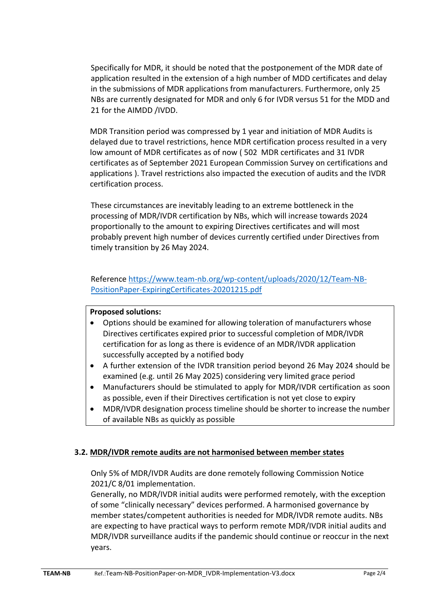Specifically for MDR, it should be noted that the postponement of the MDR date of application resulted in the extension of a high number of MDD certificates and delay in the submissions of MDR applications from manufacturers. Furthermore, only 25 NBs are currently designated for MDR and only 6 for IVDR versus 51 for the MDD and 21 for the AIMDD /IVDD.

MDR Transition period was compressed by 1 year and initiation of MDR Audits is delayed due to travel restrictions, hence MDR certification process resulted in a very low amount of MDR certificates as of now ( 502 MDR certificates and 31 IVDR certificates as of September 2021 European Commission Survey on certifications and applications ). Travel restrictions also impacted the execution of audits and the IVDR certification process.

These circumstances are inevitably leading to an extreme bottleneck in the processing of MDR/IVDR certification by NBs, which will increase towards 2024 proportionally to the amount to expiring Directives certificates and will most probably prevent high number of devices currently certified under Directives from timely transition by 26 May 2024.

Reference [https://www.team-nb.org/wp-content/uploads/2020/12/Team-NB-](https://www.team-nb.org/wp-content/uploads/2020/12/Team-NB-PositionPaper-ExpiringCertificates-20201215.pdf)[PositionPaper-ExpiringCertificates-20201215.pdf](https://www.team-nb.org/wp-content/uploads/2020/12/Team-NB-PositionPaper-ExpiringCertificates-20201215.pdf)

### **Proposed solutions:**

- Options should be examined for allowing toleration of manufacturers whose Directives certificates expired prior to successful completion of MDR/IVDR certification for as long as there is evidence of an MDR/IVDR application successfully accepted by a notified body
- A further extension of the IVDR transition period beyond 26 May 2024 should be examined (e.g. until 26 May 2025) considering very limited grace period
- Manufacturers should be stimulated to apply for MDR/IVDR certification as soon as possible, even if their Directives certification is not yet close to expiry
- MDR/IVDR designation process timeline should be shorter to increase the number of available NBs as quickly as possible

### **3.2. MDR/IVDR remote audits are not harmonised between member states**

Only 5% of MDR/IVDR Audits are done remotely following Commission Notice 2021/C 8/01 implementation.

Generally, no MDR/IVDR initial audits were performed remotely, with the exception of some "clinically necessary" devices performed. A harmonised governance by member states/competent authorities is needed for MDR/IVDR remote audits. NBs are expecting to have practical ways to perform remote MDR/IVDR initial audits and MDR/IVDR surveillance audits if the pandemic should continue or reoccur in the next years.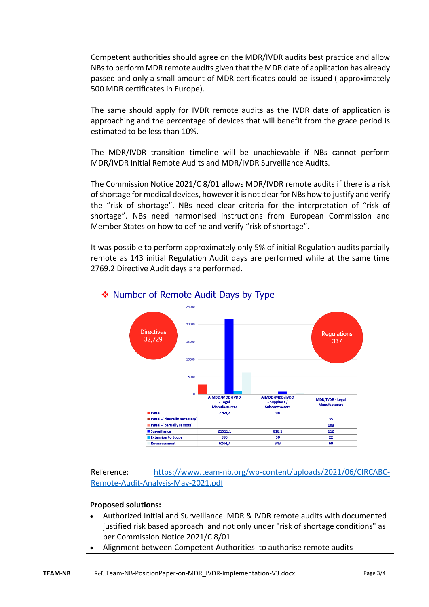Competent authorities should agree on the MDR/IVDR audits best practice and allow NBs to perform MDR remote audits given that the MDR date of application has already passed and only a small amount of MDR certificates could be issued ( approximately 500 MDR certificates in Europe).

The same should apply for IVDR remote audits as the IVDR date of application is approaching and the percentage of devices that will benefit from the grace period is estimated to be less than 10%.

The MDR/IVDR transition timeline will be unachievable if NBs cannot perform MDR/IVDR Initial Remote Audits and MDR/IVDR Surveillance Audits.

The Commission Notice 2021/C 8/01 allows MDR/IVDR remote audits if there is a risk of shortage for medical devices, however it is not clear for NBs how to justify and verify the "risk of shortage". NBs need clear criteria for the interpretation of "risk of shortage". NBs need harmonised instructions from European Commission and Member States on how to define and verify "risk of shortage".

It was possible to perform approximately only 5% of initial Regulation audits partially remote as 143 initial Regulation Audit days are performed while at the same time 2769.2 Directive Audit days are performed.



### ❖ Number of Remote Audit Days by Type

Reference: [https://www.team-nb.org/wp-content/uploads/2021/06/CIRCABC-](https://www.team-nb.org/wp-content/uploads/2021/06/CIRCABC-Remote-Audit-Analysis-May-2021.pdf)[Remote-Audit-Analysis-May-2021.pdf](https://www.team-nb.org/wp-content/uploads/2021/06/CIRCABC-Remote-Audit-Analysis-May-2021.pdf)

### **Proposed solutions:**

- Authorized Initial and Surveillance MDR & IVDR remote audits with documented justified risk based approach and not only under "risk of shortage conditions" as per Commission Notice 2021/C 8/01
- Alignment between Competent Authorities to authorise remote audits